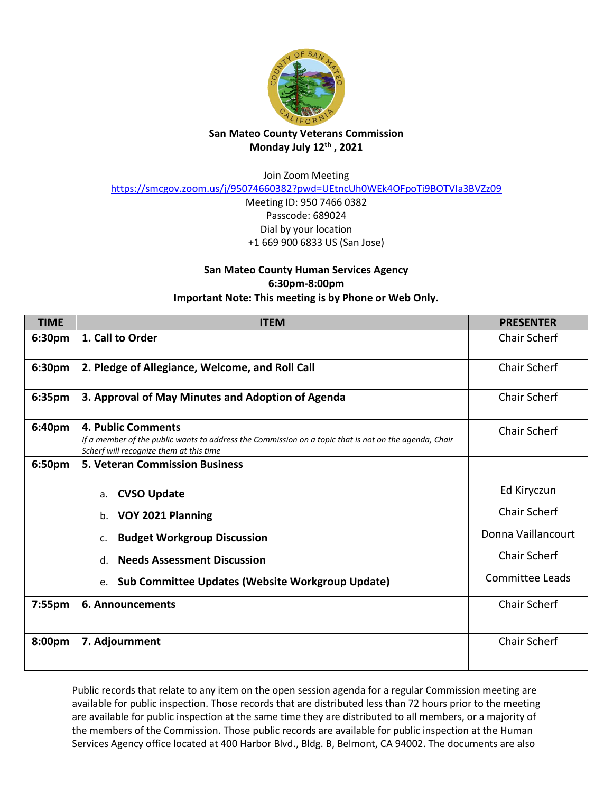

## **San Mateo County Veterans Commission Monday July 12th , 2021**

Join Zoom Meeting

<https://smcgov.zoom.us/j/95074660382?pwd=UEtncUh0WEk4OFpoTi9BOTVIa3BVZz09>

Meeting ID: 950 7466 0382 Passcode: 689024 Dial by your location +1 669 900 6833 US (San Jose)

## **San Mateo County Human Services Agency 6:30pm-8:00pm Important Note: This meeting is by Phone or Web Only.**

| <b>TIME</b>        | <b>ITEM</b>                                                                                                                                                            | <b>PRESENTER</b>       |
|--------------------|------------------------------------------------------------------------------------------------------------------------------------------------------------------------|------------------------|
| 6:30pm             | 1. Call to Order                                                                                                                                                       | <b>Chair Scherf</b>    |
| 6:30 <sub>pm</sub> | 2. Pledge of Allegiance, Welcome, and Roll Call                                                                                                                        | <b>Chair Scherf</b>    |
| 6:35pm             | 3. Approval of May Minutes and Adoption of Agenda                                                                                                                      | <b>Chair Scherf</b>    |
| 6:40pm             | 4. Public Comments<br>If a member of the public wants to address the Commission on a topic that is not on the agenda, Chair<br>Scherf will recognize them at this time | <b>Chair Scherf</b>    |
| 6:50pm             | <b>5. Veteran Commission Business</b>                                                                                                                                  |                        |
|                    | <b>CVSO Update</b><br>a.                                                                                                                                               | Ed Kiryczun            |
|                    | VOY 2021 Planning<br>b.                                                                                                                                                | <b>Chair Scherf</b>    |
|                    | <b>Budget Workgroup Discussion</b><br>c.                                                                                                                               | Donna Vaillancourt     |
|                    | <b>Needs Assessment Discussion</b><br>$d_{\cdot}$                                                                                                                      | <b>Chair Scherf</b>    |
|                    | <b>Sub Committee Updates (Website Workgroup Update)</b><br>e.                                                                                                          | <b>Committee Leads</b> |
| 7:55pm             | 6. Announcements                                                                                                                                                       | Chair Scherf           |
| 8:00pm             | 7. Adjournment                                                                                                                                                         | <b>Chair Scherf</b>    |

Public records that relate to any item on the open session agenda for a regular Commission meeting are available for public inspection. Those records that are distributed less than 72 hours prior to the meeting are available for public inspection at the same time they are distributed to all members, or a majority of the members of the Commission. Those public records are available for public inspection at the Human Services Agency office located at 400 Harbor Blvd., Bldg. B, Belmont, CA 94002. The documents are also